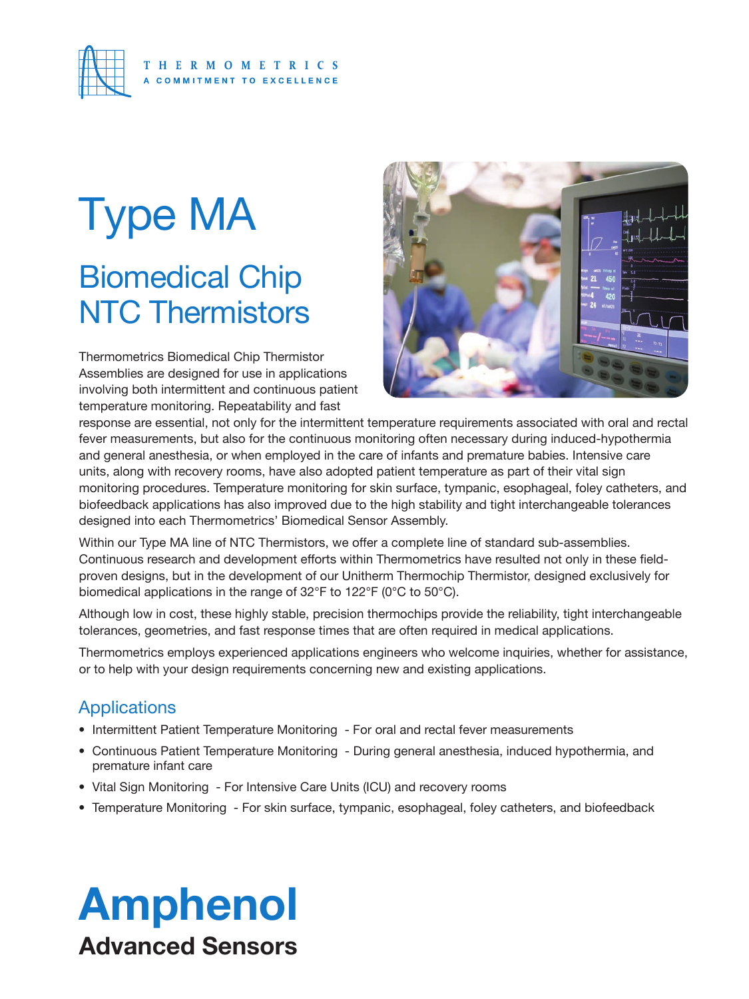

### Biomedical Chip NTC Thermistors Type MA

Thermometrics Biomedical Chip Thermistor Assemblies are designed for use in applications involving both intermittent and continuous patient temperature monitoring. Repeatability and fast



response are essential, not only for the intermittent temperature requirements associated with oral and rectal fever measurements, but also for the continuous monitoring often necessary during induced-hypothermia and general anesthesia, or when employed in the care of infants and premature babies. Intensive care units, along with recovery rooms, have also adopted patient temperature as part of their vital sign monitoring procedures. Temperature monitoring for skin surface, tympanic, esophageal, foley catheters, and biofeedback applications has also improved due to the high stability and tight interchangeable tolerances designed into each Thermometrics' Biomedical Sensor Assembly.

Within our Type MA line of NTC Thermistors, we offer a complete line of standard sub-assemblies. Continuous research and development efforts within Thermometrics have resulted not only in these fieldproven designs, but in the development of our Unitherm Thermochip Thermistor, designed exclusively for biomedical applications in the range of 32°F to 122°F (0°C to 50°C).

Although low in cost, these highly stable, precision thermochips provide the reliability, tight interchangeable tolerances, geometries, and fast response times that are often required in medical applications.

Thermometrics employs experienced applications engineers who welcome inquiries, whether for assistance, or to help with your design requirements concerning new and existing applications.

### **Applications**

- Intermittent Patient Temperature Monitoring For oral and rectal fever measurements
- Continuous Patient Temperature Monitoring During general anesthesia, induced hypothermia, and premature infant care
- Vital Sign Monitoring For Intensive Care Units (ICU) and recovery rooms
- Temperature Monitoring For skin surface, tympanic, esophageal, foley catheters, and biofeedback

### Amphenol Advanced Sensors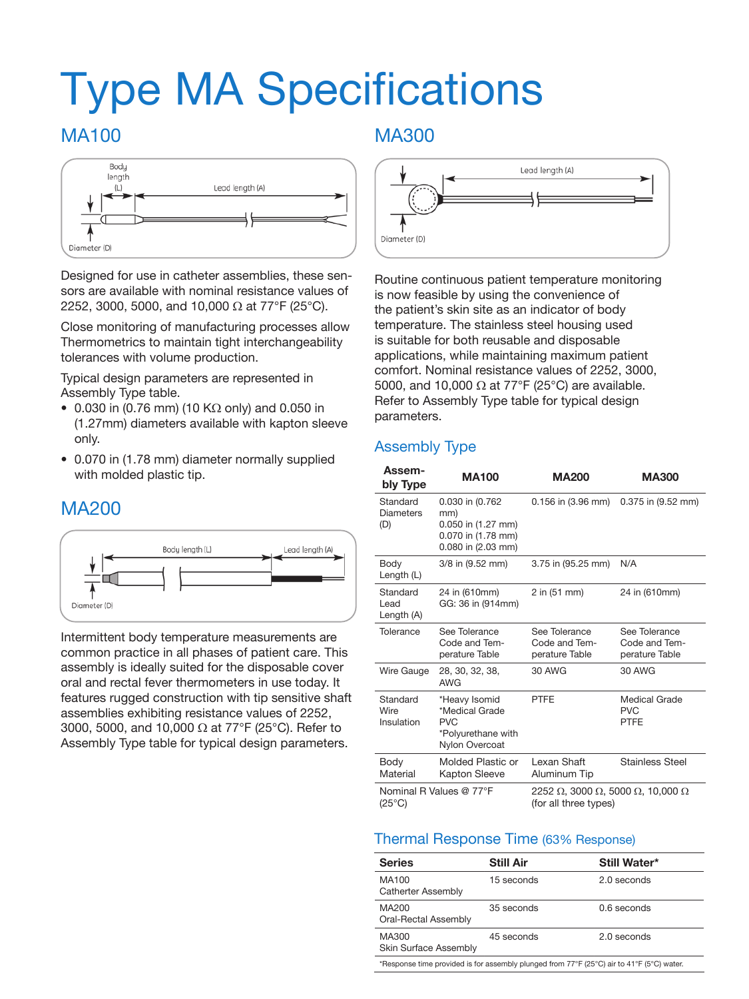## Type MA Specifications

### MA100



Designed for use in catheter assemblies, these sensors are available with nominal resistance values of 2252, 3000, 5000, and 10,000  $\Omega$  at 77°F (25°C).

Close monitoring of manufacturing processes allow Thermometrics to maintain tight interchangeability tolerances with volume production.

Typical design parameters are represented in Assembly Type table.

- 0.030 in (0.76 mm) (10 K $\Omega$  only) and 0.050 in (1.27mm) diameters available with kapton sleeve only.
- 0.070 in (1.78 mm) diameter normally supplied with molded plastic tip.

### MA200



Intermittent body temperature measurements are common practice in all phases of patient care. This assembly is ideally suited for the disposable cover oral and rectal fever thermometers in use today. It features rugged construction with tip sensitive shaft assemblies exhibiting resistance values of 2252, 3000, 5000, and 10,000 Ω at 77°F (25°C). Refer to Assembly Type table for typical design parameters.

### MA300



Routine continuous patient temperature monitoring is now feasible by using the convenience of the patient's skin site as an indicator of body temperature. The stainless steel housing used is suitable for both reusable and disposable applications, while maintaining maximum patient comfort. Nominal resistance values of 2252, 3000, 5000, and 10,000  $\Omega$  at 77°F (25°C) are available. Refer to Assembly Type table for typical design parameters.

### Assembly Type

| Assem-<br>bly Type                                                                                                      | <b>MA100</b>                                                                             | <b>MA200</b>                                              | <b>MA300</b>                                     |
|-------------------------------------------------------------------------------------------------------------------------|------------------------------------------------------------------------------------------|-----------------------------------------------------------|--------------------------------------------------|
| Standard<br><b>Diameters</b><br>(D)                                                                                     | 0.030 in (0.762<br>mm)<br>0.050 in (1.27 mm)<br>0.070 in (1.78 mm)<br>0.080 in (2.03 mm) | 0.156 in (3.96 mm)                                        | $0.375$ in $(9.52$ mm)                           |
| Body<br>Length (L)                                                                                                      | 3/8 in (9.52 mm)                                                                         | 3.75 in (95.25 mm)                                        | N/A                                              |
| Standard<br>Lead<br>Length (A)                                                                                          | 24 in (610mm)<br>GG: 36 in (914mm)                                                       | 2 in (51 mm)                                              | 24 in (610mm)                                    |
| Tolerance                                                                                                               | See Tolerance<br>Code and Tem-<br>perature Table                                         | See Tolerance<br>Code and Tem-<br>perature Table          | See Tolerance<br>Code and Tem-<br>perature Table |
| Wire Gauge                                                                                                              | 28, 30, 32, 38,<br><b>AWG</b>                                                            | 30 AWG                                                    | 30 AWG                                           |
| Standard<br>*Heavy Isomid<br>Wire<br>*Medical Grade<br>Insulation<br><b>PVC</b><br>*Polyurethane with<br>Nylon Overcoat |                                                                                          | <b>PTFE</b>                                               | Medical Grade<br><b>PVC</b><br><b>PTFE</b>       |
| Body<br>Material                                                                                                        | Molded Plastic or<br><b>Kapton Sleeve</b>                                                | Lexan Shaft<br>Aluminum Tip                               | <b>Stainless Steel</b>                           |
| Nominal R Values @ 77°F<br>$(25^{\circ}C)$                                                                              |                                                                                          | 2252 Ω, 3000 Ω, 5000 Ω, 10,000 Ω<br>(for all three types) |                                                  |

### Thermal Response Time (63% Response)

| <b>Series</b>                      | <b>Still Air</b> | Still Water* |
|------------------------------------|------------------|--------------|
| MA100<br><b>Catherter Assembly</b> | 15 seconds       | 2.0 seconds  |
| MA200<br>Oral-Rectal Assembly      | 35 seconds       | 0.6 seconds  |
| MA300<br>Skin Surface Assembly     | 45 seconds       | 2.0 seconds  |
|                                    |                  |              |

\*Response time provided is for assembly plunged from 77°F (25°C) air to 41°F (5°C) water.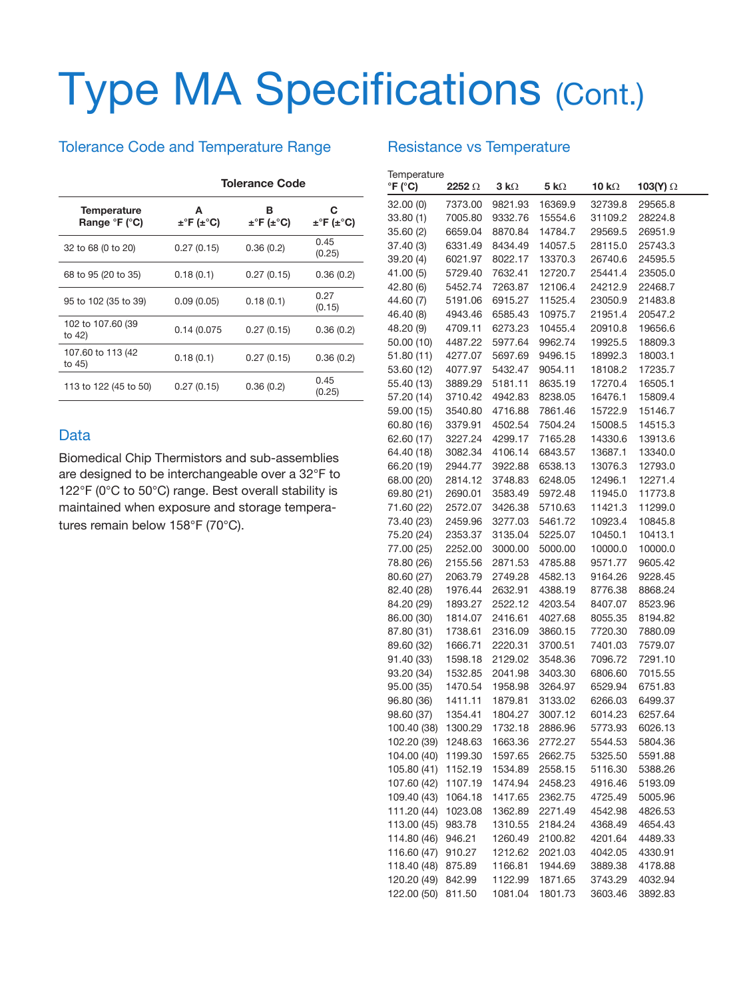# Type MA Specifications (Cont.)

### Tolerance Code and Temperature Range

|                              | <b>Tolerance Code</b> |                           |                |  |
|------------------------------|-----------------------|---------------------------|----------------|--|
| Temperature<br>Range °F (°C) | А<br>±°F (±°C)        | в<br>$\pm$ °F ( $\pm$ °C) | c<br>±°F (±°C) |  |
| 32 to 68 (0 to 20)           | 0.27(0.15)            | 0.36(0.2)                 | 0.45<br>(0.25) |  |
| 68 to 95 (20 to 35)          | 0.18(0.1)             | 0.27(0.15)                | 0.36(0.2)      |  |
| 95 to 102 (35 to 39)         | 0.09(0.05)            | 0.18(0.1)                 | 0.27<br>(0.15) |  |
| 102 to 107.60 (39<br>to 42)  | 0.14 (0.075           | 0.27(0.15)                | 0.36(0.2)      |  |
| 107.60 to 113 (42)<br>to 45) | 0.18(0.1)             | 0.27(0.15)                | 0.36(0.2)      |  |
| 113 to 122 (45 to 50)        | 0.27(0.15)            | 0.36(0.2)                 | 0.45<br>(0.25) |  |

#### Data

Biomedical Chip Thermistors and sub-assemblies are designed to be interchangeable over a 32°F to 122°F (0°C to 50°C) range. Best overall stability is maintained when exposure and storage temperatures remain below 158°F (70°C).

#### Temperature<br>
°F (°C) **°F (°C) 2252** Ω **3 k**Ω **5 k**Ω **10 k**Ω **103(Y)** Ω 32.00 (0) 7373.00 9821.93 16369.9 32739.8 29565.8 33.80 (1) 7005.80 9332.76 15554.6 31109.2 28224.8 35.60 (2) 6659.04 8870.84 14784.7 29569.5 26951.9 37.40 (3) 6331.49 8434.49 14057.5 28115.0 25743.3 39.20 (4) 6021.97 8022.17 13370.3 26740.6 24595.5 41.00 (5) 5729.40 7632.41 12720.7 25441.4 23505.0 42.80 (6) 5452.74 7263.87 12106.4 24212.9 22468.7 44.60 (7) 5191.06 6915.27 11525.4 23050.9 21483.8 46.40 (8) 4943.46 6585.43 10975.7 21951.4 20547.2 48.20 (9) 4709.11 6273.23 10455.4 20910.8 19656.6 50.00 (10) 4487.22 5977.64 9962.74 19925.5 18809.3 51.80 (11) 4277.07 5697.69 9496.15 18992.3 18003.1 53.60 (12) 4077.97 5432.47 9054.11 18108.2 17235.7 55.40 (13) 3889.29 5181.11 8635.19 17270.4 16505.1 57.20 (14) 3710.42 4942.83 8238.05 16476.1 15809.4 59.00 (15) 3540.80 4716.88 7861.46 15722.9 15146.7 60.80 (16) 3379.91 4502.54 7504.24 15008.5 14515.3 62.60 (17) 3227.24 4299.17 7165.28 14330.6 13913.6 64.40 (18) 3082.34 4106.14 6843.57 13687.1 13340.0 66.20 (19) 2944.77 3922.88 6538.13 13076.3 12793.0 68.00 (20) 2814.12 3748.83 6248.05 12496.1 12271.4 69.80 (21) 2690.01 3583.49 5972.48 11945.0 11773.8 71.60 (22) 2572.07 3426.38 5710.63 11421.3 11299.0 73.40 (23) 2459.96 3277.03 5461.72 10923.4 10845.8 75.20 (24) 2353.37 3135.04 5225.07 10450.1 10413.1 77.00 (25) 2252.00 3000.00 5000.00 10000.0 10000.0 78.80 (26) 2155.56 2871.53 4785.88 9571.77 9605.42 80.60 (27) 2063.79 2749.28 4582.13 9164.26 9228.45 82.40 (28) 1976.44 2632.91 4388.19 8776.38 8868.24 84.20 (29) 1893.27 2522.12 4203.54 8407.07 8523.96 86.00 (30) 1814.07 2416.61 4027.68 8055.35 8194.82 87.80 (31) 1738.61 2316.09 3860.15 7720.30 7880.09 89.60 (32) 1666.71 2220.31 3700.51 7401.03 7579.07 91.40 (33) 1598.18 2129.02 3548.36 7096.72 7291.10 93.20 (34) 1532.85 2041.98 3403.30 6806.60 7015.55 95.00 (35) 1470.54 1958.98 3264.97 6529.94 6751.83 96.80 (36) 1411.11 1879.81 3133.02 6266.03 6499.37 98.60 (37) 1354.41 1804.27 3007.12 6014.23 6257.64 100.40 (38) 1300.29 1732.18 2886.96 5773.93 6026.13 102.20 (39) 1248.63 1663.36 2772.27 5544.53 5804.36 104.00 (40) 1199.30 1597.65 2662.75 5325.50 5591.88 105.80 (41) 1152.19 1534.89 2558.15 5116.30 5388.26 107.60 (42) 1107.19 1474.94 2458.23 4916.46 5193.09 109.40 (43) 1064.18 1417.65 2362.75 4725.49 5005.96 111.20 (44) 1023.08 1362.89 2271.49 4542.98 4826.53 113.00 (45) 983.78 1310.55 2184.24 4368.49 4654.43

Resistance vs Temperature

114.80 (46) 946.21 1260.49 2100.82 4201.64 4489.33 116.60 (47) 910.27 1212.62 2021.03 4042.05 4330.91 118.40 (48) 875.89 1166.81 1944.69 3889.38 4178.88 120.20 (49) 842.99 1122.99 1871.65 3743.29 4032.94 122.00 (50) 811.50 1081.04 1801.73 3603.46 3892.83